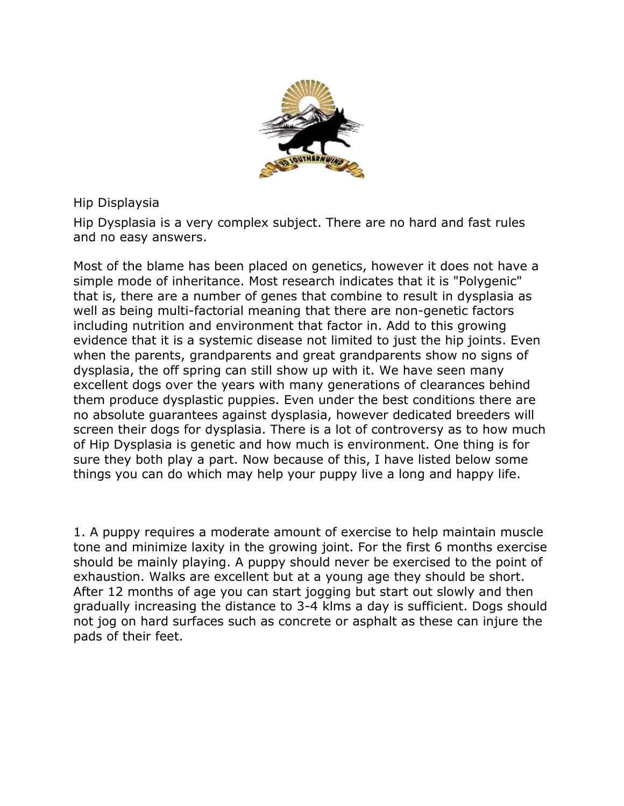

Hip Displaysia

Hip Dysplasia is a very complex subject. There are no hard and fast rules and no easy answers.

Most of the blame has been placed on genetics, however it does not have a simple mode of inheritance. Most research indicates that it is "Polygenic" that is, there are a number of genes that combine to result in dysplasia as well as being multi-factorial meaning that there are non-genetic factors including nutrition and environment that factor in. Add to this growing evidence that it is a systemic disease not limited to just the hip joints. Even when the parents, grandparents and great grandparents show no signs of dysplasia, the off spring can still show up with it. We have seen many excellent dogs over the years with many generations of clearances behind them produce dysplastic puppies. Even under the best conditions there are no absolute guarantees against dysplasia, however dedicated breeders will screen their dogs for dysplasia. There is a lot of controversy as to how much of Hip Dysplasia is genetic and how much is environment. One thing is for sure they both play a part. Now because of this, I have listed below some things you can do which may help your puppy live a long and happy life.

1. A puppy requires a moderate amount of exercise to help maintain muscle tone and minimize laxity in the growing joint. For the first 6 months exercise should be mainly playing. A puppy should never be exercised to the point of exhaustion. Walks are excellent but at a young age they should be short. After 12 months of age you can start jogging but start out slowly and then gradually increasing the distance to 3-4 klms a day is sufficient. Dogs should not jog on hard surfaces such as concrete or asphalt as these can injure the pads of their feet.